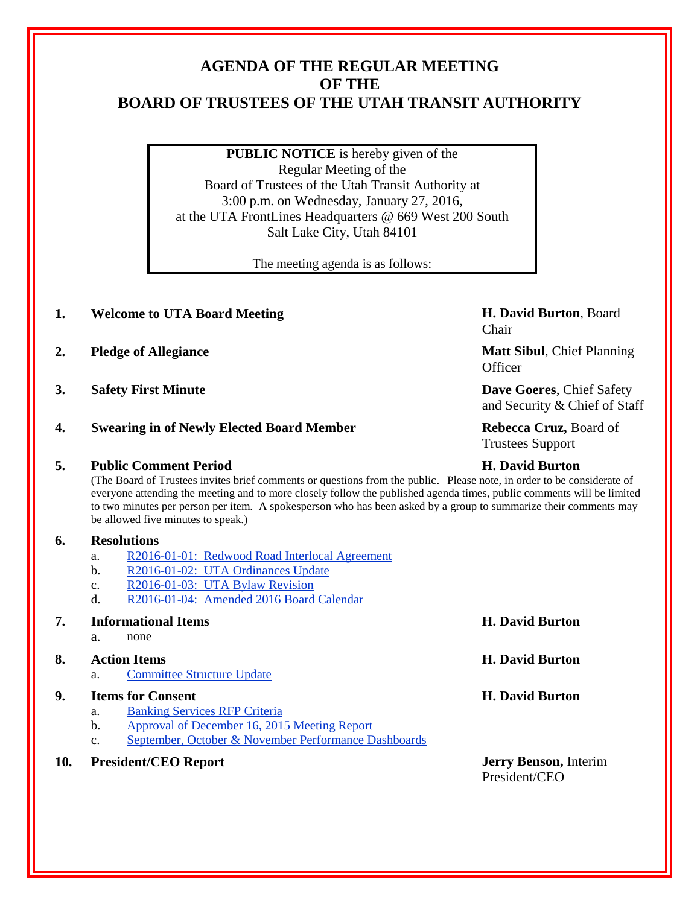# **AGENDA OF THE REGULAR MEETING OF THE BOARD OF TRUSTEES OF THE UTAH TRANSIT AUTHORITY**

**PUBLIC NOTICE** is hereby given of the Regular Meeting of the Board of Trustees of the Utah Transit Authority at 3:00 p.m. on Wednesday, January 27, 2016, at the UTA FrontLines Headquarters @ 669 West 200 South Salt Lake City, Utah 84101

The meeting agenda is as follows:

### **1. Welcome to UTA Board Meeting H. David Burton**, Board

- **2. Pledge of Allegiance Matt Sibul**, Chief Planning
- 
- **4. Swearing in of Newly Elected Board Member Rebecca Cruz,** Board of

### **5. Public Comment Period H. David Burton**

(The Board of Trustees invites brief comments or questions from the public. Please note, in order to be considerate of everyone attending the meeting and to more closely follow the published agenda times, public comments will be limited to two minutes per person per item. A spokesperson who has been asked by a group to summarize their comments may be allowed five minutes to speak.)

### **6. Resolutions**

- a. R2016-01-01: Redwood Road Interlocal Agreement
- b. R2016-01-02: UTA Ordinances Update
- c. R2016-01-03: UTA Bylaw Revision
- d. R2016-01-04: Amended 2016 Board Calendar

### **7. Informational Items H. David Burton**

a. none

## **8. Action Items H. David Burton**

a. Committee Structure Update

### **9. Items for Consent H. David Burton**

- a. Banking Services RFP Criteria
- b. Approval of December 16, 2015 Meeting Report
- c. September, October & November Performance Dashboards
- **10. President/CEO Report Jerry Benson,** Interim

Chair

**Officer** 

**3. Safety First Minute Dave Goeres**, Chief Safety and Security & Chief of Staff

Trustees Support

President/CEO